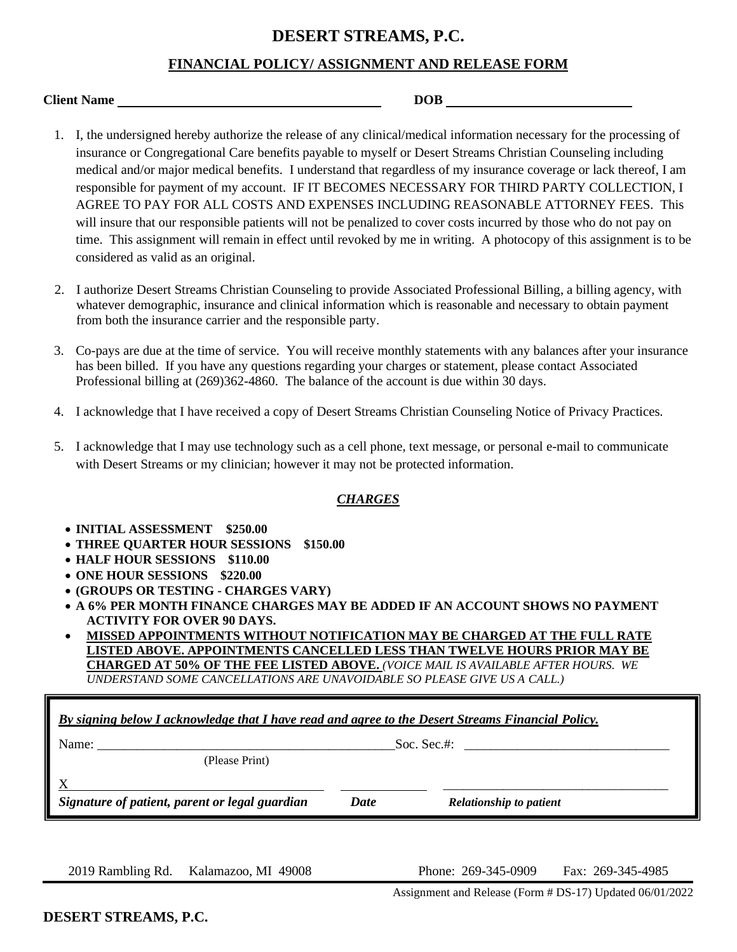## **DESERT STREAMS, P.C.**

### **FINANCIAL POLICY/ ASSIGNMENT AND RELEASE FORM**

| <b>Client Name</b> | <b>DOB</b> |
|--------------------|------------|
|                    |            |

- 1. I, the undersigned hereby authorize the release of any clinical/medical information necessary for the processing of insurance or Congregational Care benefits payable to myself or Desert Streams Christian Counseling including medical and/or major medical benefits. I understand that regardless of my insurance coverage or lack thereof, I am responsible for payment of my account. IF IT BECOMES NECESSARY FOR THIRD PARTY COLLECTION, I AGREE TO PAY FOR ALL COSTS AND EXPENSES INCLUDING REASONABLE ATTORNEY FEES. This will insure that our responsible patients will not be penalized to cover costs incurred by those who do not pay on time. This assignment will remain in effect until revoked by me in writing. A photocopy of this assignment is to be considered as valid as an original.
- 2. I authorize Desert Streams Christian Counseling to provide Associated Professional Billing, a billing agency, with whatever demographic, insurance and clinical information which is reasonable and necessary to obtain payment from both the insurance carrier and the responsible party.
- 3. Co-pays are due at the time of service. You will receive monthly statements with any balances after your insurance has been billed. If you have any questions regarding your charges or statement, please contact Associated Professional billing at (269)362-4860. The balance of the account is due within 30 days.
- 4. I acknowledge that I have received a copy of Desert Streams Christian Counseling Notice of Privacy Practices.
- 5. I acknowledge that I may use technology such as a cell phone, text message, or personal e-mail to communicate with Desert Streams or my clinician; however it may not be protected information.

#### *CHARGES*

- **INITIAL ASSESSMENT \$250.00**
- **THREE QUARTER HOUR SESSIONS \$150.00**
- **HALF HOUR SESSIONS \$110.00**
- **ONE HOUR SESSIONS \$220.00**
- **(GROUPS OR TESTING - CHARGES VARY)**
- **A 6% PER MONTH FINANCE CHARGES MAY BE ADDED IF AN ACCOUNT SHOWS NO PAYMENT ACTIVITY FOR OVER 90 DAYS.**
- **MISSED APPOINTMENTS WITHOUT NOTIFICATION MAY BE CHARGED AT THE FULL RATE LISTED ABOVE. APPOINTMENTS CANCELLED LESS THAN TWELVE HOURS PRIOR MAY BE CHARGED AT 50% OF THE FEE LISTED ABOVE.** *(VOICE MAIL IS AVAILABLE AFTER HOURS. WE UNDERSTAND SOME CANCELLATIONS ARE UNAVOIDABLE SO PLEASE GIVE US A CALL.)*

| By signing below I acknowledge that I have read and agree to the Desert Streams Financial Policy. |                             |                                |  |  |
|---------------------------------------------------------------------------------------------------|-----------------------------|--------------------------------|--|--|
| Name:                                                                                             | Soc. Sec.#: $\qquad \qquad$ |                                |  |  |
| (Please Print)                                                                                    |                             |                                |  |  |
|                                                                                                   |                             |                                |  |  |
| Signature of patient, parent or legal guardian                                                    | <b>Date</b>                 | <b>Relationship to patient</b> |  |  |

2019 Rambling Rd. Kalamazoo, MI 49008 Phone: 269-345-0909 Fax: 269-345-4985

Assignment and Release (Form # DS-17) Updated 06/01/2022

**DESERT STREAMS, P.C.**